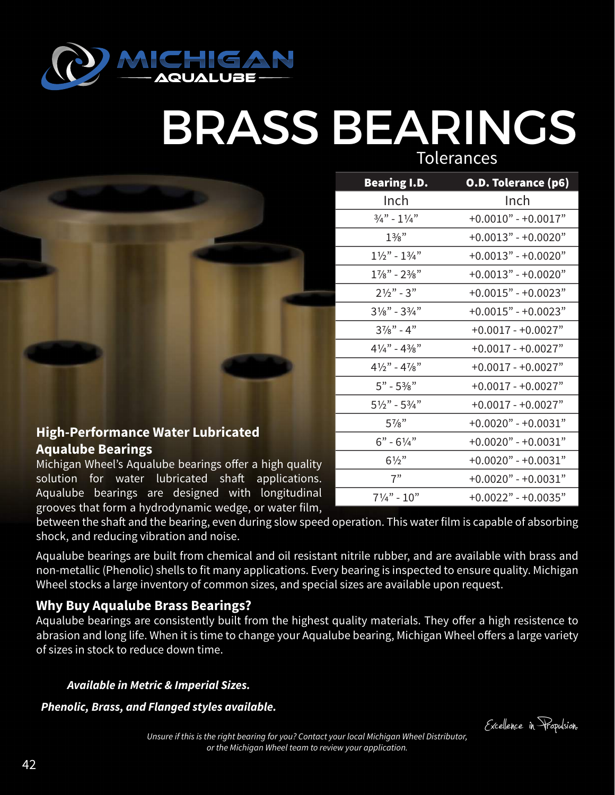

## BRASS BEARINGS **Tolerances**

| <b>High-Performance Water Lubricated</b> |  |
|------------------------------------------|--|

Inch Inch  $\frac{3}{4}$ " - 1 $\frac{1}{4}$ " + 0.0010" - + 0.0017"  $1\frac{3}{8}$ " +0.0013" - +0.0020"  $1\frac{1}{2}$ " -  $1\frac{3}{4}$ " + 0.0013" - + 0.0020"  $1\frac{7}{8}$ " -  $2\frac{3}{8}$ " + 0.0013" - + 0.0020"  $2\frac{1}{2}$ " - 3" +0.0015" - +0.0023"  $3\frac{1}{8}$ " -  $3\frac{3}{4}$ " +0.0015" - +0.0023"  $3\frac{7}{8}$ " - 4" +0.0017 - +0.0027"  $4\frac{1}{4}$ " -  $4\frac{3}{8}$ " +0.0017 - +0.0027"  $4\frac{1}{2}$ " -  $4\frac{7}{8}$ " +0.0017 - +0.0027" 5" - 53/8" +0.0017 - +0.0027"  $5\frac{1}{2}$ " -  $5\frac{3}{4}$ " +0.0017 - +0.0027" 57/8" +0.0020" - +0.0031"  $6" - 6\frac{1}{4}" + 0.0020" - +0.0031"$  $6\frac{1}{2}$ " +0.0020" - +0.0031" 7" +0.0020" - +0.0031"

 $7\frac{1}{4}$ " - 10" + 0.0022" - + 0.0035"

Bearing I.D. O.D. Tolerance (p6)

### **High-Performance Water Lubricated Aqualube Bearings**

Michigan Wheel's Aqualube bearings offer a high quality solution for water lubricated shaft applications. Aqualube bearings are designed with longitudinal grooves that form a hydrodynamic wedge, or water film,

between the shaft and the bearing, even during slow speed operation. This water film is capable of absorbing shock, and reducing vibration and noise.

Aqualube bearings are built from chemical and oil resistant nitrile rubber, and are available with brass and non-metallic (Phenolic) shells to fit many applications. Every bearing is inspected to ensure quality. Michigan Wheel stocks a large inventory of common sizes, and special sizes are available upon request.

### **Why Buy Aqualube Brass Bearings?**

Aqualube bearings are consistently built from the highest quality materials. They offer a high resistence to abrasion and long life. When it is time to change your Aqualube bearing, Michigan Wheel offers a large variety of sizes in stock to reduce down time.

### *Available in Metric & Imperial Sizes.*

*Phenolic, Brass, and Flanged styles available.*

Excelence in Propulsion.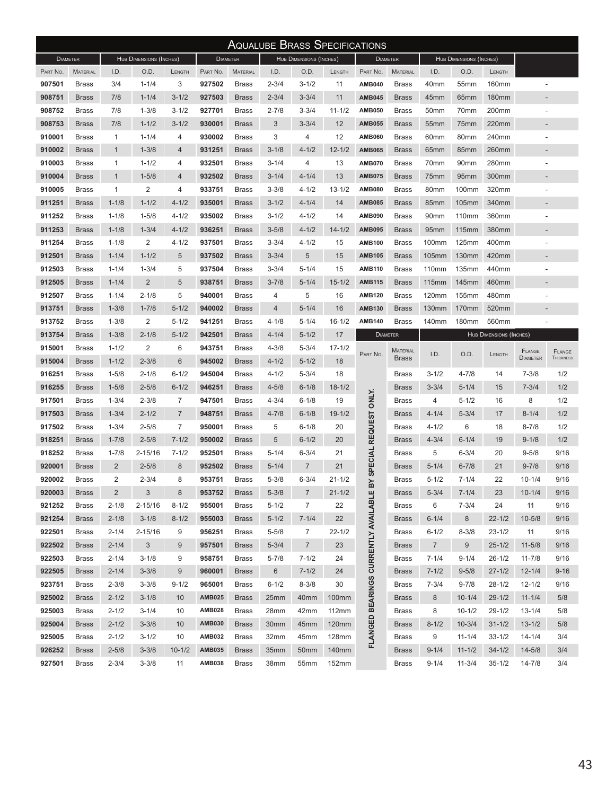| <b>AQUALUBE BRASS SPECIFICATIONS</b> |                 |                         |                         |                 |               |                         |           |                  |            |                         |                 |                  |                  |                         |                          |                  |
|--------------------------------------|-----------------|-------------------------|-------------------------|-----------------|---------------|-------------------------|-----------|------------------|------------|-------------------------|-----------------|------------------|------------------|-------------------------|--------------------------|------------------|
| <b>DIAMETER</b>                      |                 | HUB DIMENSIONS (INCHES) |                         | <b>DIAMETER</b> |               | HUB DIMENSIONS (INCHES) |           | <b>DIAMETER</b>  |            | HUB DIMENSIONS (INCHES) |                 |                  |                  |                         |                          |                  |
| PART No.                             | <b>MATERIAL</b> | I.D.                    | O.D.                    | LENGTH          | PART No.      | <b>MATERIAL</b>         | I.D.      | O.D.             | LENGTH     | PART No.                | <b>MATERIAL</b> | I.D.             | O.D.             | LENGTH                  |                          |                  |
| 907501                               | <b>Brass</b>    | 3/4                     | $1 - 1/4$               | 3               | 927502        | <b>Brass</b>            | $2 - 3/4$ | $3 - 1/2$        | 11         | <b>AMB040</b>           | <b>Brass</b>    | 40mm             | 55 <sub>mm</sub> | 160mm                   |                          |                  |
| 908751                               | <b>Brass</b>    | 7/8                     | $1 - 1/4$               | $3 - 1/2$       | 927503        | <b>Brass</b>            | $2 - 3/4$ | $3 - 3/4$        | 11         | <b>AMB045</b>           | <b>Brass</b>    | 45mm             | 65 <sub>mm</sub> | 180mm                   |                          |                  |
| 908752                               | <b>Brass</b>    | 7/8                     | $1 - 3/8$               | $3 - 1/2$       | 927701        | <b>Brass</b>            | $2 - 7/8$ | $3 - 3/4$        | $11 - 1/2$ | <b>AMB050</b>           | <b>Brass</b>    | 50 <sub>mm</sub> | 70mm             | 200mm                   |                          |                  |
| 908753                               | <b>Brass</b>    | 7/8                     | $1 - 1/2$               | $3 - 1/2$       | 930001        | <b>Brass</b>            | 3         | $3 - 3/4$        | 12         | <b>AMB055</b>           | <b>Brass</b>    | 55 <sub>mm</sub> | 75mm             | 220mm                   |                          |                  |
| 910001                               | Brass           | $\mathbf{1}$            | $1 - 1/4$               | 4               | 930002        | <b>Brass</b>            | 3         | 4                | 12         | <b>AMB060</b>           | <b>Brass</b>    | 60mm             | 80mm             | 240mm                   |                          |                  |
| 910002                               | <b>Brass</b>    | $\mathbf{1}$            | $1 - 3/8$               | 4               | 931251        | <b>Brass</b>            | $3 - 1/8$ | $4 - 1/2$        | $12 - 1/2$ | <b>AMB065</b>           | <b>Brass</b>    | 65mm             | 85mm             | 260mm                   | $\overline{\phantom{a}}$ |                  |
| 910003                               | <b>Brass</b>    | 1                       | $1 - 1/2$               | 4               | 932501        | <b>Brass</b>            | $3 - 1/4$ | 4                | 13         | <b>AMB070</b>           | <b>Brass</b>    | 70mm             | 90 <sub>mm</sub> | 280mm                   |                          |                  |
| 910004                               | <b>Brass</b>    | $\mathbf{1}$            | $1 - 5/8$               | 4               | 932502        | <b>Brass</b>            | $3 - 1/4$ | $4 - 1/4$        | 13         | <b>AMB075</b>           | <b>Brass</b>    | 75mm             | 95 <sub>mm</sub> | 300mm                   |                          |                  |
| 910005                               | Brass           | $\mathbf{1}$            | $\overline{\mathbf{c}}$ | 4               | 933751        | <b>Brass</b>            | $3 - 3/8$ | $4 - 1/2$        | $13 - 1/2$ | <b>AMB080</b>           | <b>Brass</b>    | 80mm             | 100mm            | 320mm                   |                          |                  |
| 911251                               | <b>Brass</b>    | $1 - 1/8$               | $1 - 1/2$               | $4 - 1/2$       | 935001        | <b>Brass</b>            | $3 - 1/2$ | $4 - 1/4$        | 14         | <b>AMB085</b>           | <b>Brass</b>    | 85mm             | <b>105mm</b>     | 340mm                   |                          |                  |
| 911252                               | <b>Brass</b>    | $1 - 1/8$               | $1 - 5/8$               | 4-1/2           | 935002        | <b>Brass</b>            | $3 - 1/2$ | $4 - 1/2$        | 14         | <b>AMB090</b>           | <b>Brass</b>    | 90mm             | 110mm            | 360mm                   |                          |                  |
| 911253                               | <b>Brass</b>    | $1 - 1/8$               | $1 - 3/4$               | $4 - 1/2$       | 936251        | <b>Brass</b>            | $3 - 5/8$ | $4 - 1/2$        | $14 - 1/2$ | <b>AMB095</b>           | <b>Brass</b>    | 95 <sub>mm</sub> | 115mm            | 380mm                   |                          |                  |
| 911254                               | Brass           | $1 - 1/8$               | $\overline{\mathbf{c}}$ | $4 - 1/2$       | 937501        | <b>Brass</b>            | $3 - 3/4$ | $4 - 1/2$        | 15         | <b>AMB100</b>           | <b>Brass</b>    | 100mm            | 125mm            | 400mm                   |                          |                  |
| 912501                               | <b>Brass</b>    | $1 - 1/4$               | $1 - 1/2$               | 5               | 937502        | <b>Brass</b>            | $3 - 3/4$ | 5                | 15         | <b>AMB105</b>           | <b>Brass</b>    | 105mm            | 130mm            | 420mm                   |                          |                  |
| 912503                               | Brass           | $1 - 1/4$               | $1 - 3/4$               | 5               | 937504        | <b>Brass</b>            | $3 - 3/4$ | $5 - 1/4$        | 15         | <b>AMB110</b>           | <b>Brass</b>    | 110mm            | 135mm            | 440mm                   |                          |                  |
| 912505                               | <b>Brass</b>    | $1 - 1/4$               | $\overline{2}$          | 5               | 938751        | <b>Brass</b>            | $3 - 7/8$ | $5 - 1/4$        | $15 - 1/2$ | <b>AMB115</b>           | <b>Brass</b>    | 115mm            | 145mm            | 460mm                   |                          |                  |
| 912507                               | Brass           | $1 - 1/4$               | $2 - 1/8$               | 5               | 940001        | <b>Brass</b>            | 4         | 5                | 16         | <b>AMB120</b>           | <b>Brass</b>    | 120mm            | 155mm            | 480mm                   |                          |                  |
| 913751                               | <b>Brass</b>    | $1 - 3/8$               | $1 - 7/8$               | $5 - 1/2$       | 940002        | <b>Brass</b>            | 4         | $5 - 1/4$        | 16         | <b>AMB130</b>           | <b>Brass</b>    | 130mm            | 170mm            | 520mm                   |                          |                  |
| 913752                               | <b>Brass</b>    | $1 - 3/8$               | 2                       | $5 - 1/2$       | 941251        | <b>Brass</b>            | 4-1/8     | $5 - 1/4$        | $16 - 1/2$ | <b>AMB140</b>           | <b>Brass</b>    | 140mm            | 180mm            | 560mm                   | $\overline{\phantom{a}}$ |                  |
| 913754                               | <b>Brass</b>    | $1 - 3/8$               | $2 - 1/8$               | $5 - 1/2$       | 942501        | <b>Brass</b>            | $4 - 1/4$ | $5 - 1/2$        | 17         | <b>DIAMETER</b>         |                 |                  |                  | HUB DIMENSIONS (INCHES) |                          |                  |
| 915001                               | Brass           | $1 - 1/2$               | $\overline{2}$          | 6               | 943751        | <b>Brass</b>            | 4-3/8     | $5 - 3/4$        | $17 - 1/2$ |                         | <b>MATERIAL</b> |                  |                  |                         | FLANGE                   | FLANGE           |
| 915004                               | <b>Brass</b>    | $1 - 1/2$               | $2 - 3/8$               | 6               | 945002        | <b>Brass</b>            | $4 - 1/2$ | $5 - 1/2$        | 18         | PART No.                | <b>Brass</b>    | I.D.             | O.D.             | LENGTH                  | <b>DIAMETER</b>          | <b>THICKNESS</b> |
| 916251                               | <b>Brass</b>    | $1 - 5/8$               | $2 - 1/8$               | $6 - 1/2$       | 945004        | <b>Brass</b>            | $4 - 1/2$ | $5 - 3/4$        | 18         |                         | <b>Brass</b>    | $3 - 1/2$        | $4 - 7/8$        | 14                      | $7 - 3/8$                | 1/2              |
| 916255                               | <b>Brass</b>    | $1 - 5/8$               | $2 - 5/8$               | $6 - 1/2$       | 946251        | <b>Brass</b>            | 4-5/8     | $6 - 1/8$        | $18 - 1/2$ |                         | <b>Brass</b>    | $3 - 3/4$        | $5 - 1/4$        | 15                      | $7 - 3/4$                | 1/2              |
| 917501                               | Brass           | $1 - 3/4$               | $2 - 3/8$               | $\overline{7}$  | 947501        | <b>Brass</b>            | 4-3/4     | $6 - 1/8$        | 19         | <b>ONLY.</b>            | Brass           | 4                | $5 - 1/2$        | 16                      | 8                        | 1/2              |
| 917503                               | <b>Brass</b>    | $1 - 3/4$               | $2 - 1/2$               | $\overline{7}$  | 948751        | <b>Brass</b>            | $4 - 7/8$ | $6 - 1/8$        | $19 - 1/2$ |                         | <b>Brass</b>    | $4 - 1/4$        | $5 - 3/4$        | 17                      | $8 - 1/4$                | 1/2              |
| 917502                               | Brass           | $1 - 3/4$               | $2 - 5/8$               | 7               | 950001        | <b>Brass</b>            | 5         | $6 - 1/8$        | 20         | <b>REQUEST</b>          | Brass           | $4 - 1/2$        | 6                | 18                      | $8 - 7/8$                | 1/2              |
| 918251                               | <b>Brass</b>    | $1 - 7/8$               | $2 - 5/8$               | $7 - 1/2$       | 950002        | <b>Brass</b>            | 5         | $6 - 1/2$        | 20         |                         | <b>Brass</b>    | $4 - 3/4$        | $6 - 1/4$        | 19                      | $9 - 1/8$                | 1/2              |
| 918252                               | Brass           | $1 - 7/8$               | $2 - 15/16$             | $7 - 1/2$       | 952501        | <b>Brass</b>            | 5-1/4     | $6 - 3/4$        | 21         |                         | <b>Brass</b>    | 5                | $6 - 3/4$        | 20                      | $9 - 5/8$                | 9/16             |
| 920001                               | <b>Brass</b>    | $\overline{2}$          | $2 - 5/8$               | 8               | 952502        | <b>Brass</b>            | $5 - 1/4$ | $\overline{7}$   | 21         | PECIAL                  | <b>Brass</b>    | $5 - 1/4$        | $6 - 7/8$        | 21                      | $9 - 7/8$                | 9/16             |
| 920002                               | <b>Brass</b>    | $\overline{c}$          | $2 - 3/4$               | 8               | 953751        | <b>Brass</b>            | $5 - 3/8$ | $6 - 3/4$        | $21 - 1/2$ | ဖ<br>≃                  | <b>Brass</b>    | $5 - 1/2$        | $7 - 1/4$        | 22                      | $10 - 1/4$               | 9/16             |
| 920003                               | <b>Brass</b>    | $\overline{c}$          | 3                       | 8               | 953752        | <b>Brass</b>            | $5 - 3/8$ | $\overline{7}$   | $21 - 1/2$ |                         | <b>Brass</b>    | $5 - 3/4$        | $7 - 1/4$        | 23                      | $10 - 1/4$               | 9/16             |
| 921252                               | <b>Brass</b>    | $2 - 1/8$               | $2 - 15/16$             | $8 - 1/2$       | 955001        | <b>Brass</b>            | $5 - 1/2$ | $\overline{7}$   | 22         | AVAILABLE               | <b>Brass</b>    | 6                | $7 - 3/4$        | 24                      | 11                       | 9/16             |
| 921254                               | <b>Brass</b>    | $2 - 1/8$               | $3 - 1/8$               | $8 - 1/2$       | 955003        | <b>Brass</b>            | $5 - 1/2$ | $7 - 1/4$        | 22         |                         | <b>Brass</b>    | $6 - 1/4$        | 8                | $22 - 1/2$              | $10 - 5/8$               | 9/16             |
| 922501                               | <b>Brass</b>    | $2 - 1/4$               | $2 - 15/16$             | 9               | 956251        | <b>Brass</b>            | $5 - 5/8$ | 7                | $22 - 1/2$ |                         | <b>Brass</b>    | $6 - 1/2$        | $8 - 3/8$        | $23 - 1/2$              | 11                       | 9/16             |
| 922502                               | <b>Brass</b>    | $2 - 1/4$               | 3                       | 9               | 957501        | <b>Brass</b>            | $5 - 3/4$ | $\overline{7}$   | 23         |                         | <b>Brass</b>    | $\overline{7}$   | 9                | $25 - 1/2$              | $11 - 5/8$               | 9/16             |
| 922503                               | <b>Brass</b>    | $2 - 1/4$               | $3 - 1/8$               | 9               | 958751        | <b>Brass</b>            | $5 - 7/8$ | $7 - 1/2$        | 24         | <b>CURRENTLY</b>        | <b>Brass</b>    | $7 - 1/4$        | $9 - 1/4$        | $26 - 1/2$              | $11 - 7/8$               | 9/16             |
| 922505                               | <b>Brass</b>    | $2 - 1/4$               | $3 - 3/8$               | 9               | 960001        | <b>Brass</b>            | 6         | $7 - 1/2$        | 24         |                         | <b>Brass</b>    | $7 - 1/2$        | $9 - 5/8$        | $27 - 1/2$              | $12 - 1/4$               | $9 - 16$         |
| 923751                               | <b>Brass</b>    | $2 - 3/8$               | $3 - 3/8$               | $9 - 1/2$       | 965001        | <b>Brass</b>            | $6 - 1/2$ | $8 - 3/8$        | 30         | <b>BEARINGS</b>         | <b>Brass</b>    | $7 - 3/4$        | $9 - 7/8$        | 28-1/2                  | $12 - 1/2$               | 9/16             |
| 925002                               | <b>Brass</b>    | $2 - 1/2$               | $3 - 1/8$               | 10              | <b>AMB025</b> | <b>Brass</b>            | 25mm      | 40 <sub>mm</sub> | 100mm      |                         | <b>Brass</b>    | 8                | $10 - 1/4$       | $29 - 1/2$              | $11 - 1/4$               | 5/8              |
| 925003                               | <b>Brass</b>    | $2 - 1/2$               | $3 - 1/4$               | 10              | <b>AMB028</b> | <b>Brass</b>            | 28mm      | 42mm             | 112mm      |                         | <b>Brass</b>    | 8                | $10 - 1/2$       | 29-1/2                  | $13 - 1/4$               | 5/8              |
| 925004                               | <b>Brass</b>    | $2 - 1/2$               | $3 - 3/8$               | 10              | <b>AMB030</b> | <b>Brass</b>            | 30mm      | 45mm             | 120mm      | FLANGED                 | <b>Brass</b>    | $8 - 1/2$        | $10 - 3/4$       | $31 - 1/2$              | $13 - 1/2$               | 5/8              |
| 925005                               | Brass           | $2 - 1/2$               | $3 - 1/2$               | 10              | <b>AMB032</b> | <b>Brass</b>            | 32mm      | 45mm             | 128mm      |                         | <b>Brass</b>    | 9                | $11 - 1/4$       | $33 - 1/2$              | $14 - 1/4$               | 3/4              |
| 926252                               | <b>Brass</b>    | $2 - 5/8$               | $3 - 3/8$               | $10 - 1/2$      | <b>AMB035</b> | <b>Brass</b>            | 35mm      | 50 <sub>mm</sub> | 140mm      |                         | <b>Brass</b>    | $9 - 1/4$        | $11 - 1/2$       | $34 - 1/2$              | $14 - 5/8$               | 3/4              |
| 927501                               | <b>Brass</b>    | $2 - 3/4$               | $3 - 3/8$               | 11              | <b>AMB038</b> | <b>Brass</b>            | 38mm      | 55 <sub>mm</sub> | 152mm      |                         | Brass           | $9 - 1/4$        | $11 - 3/4$       | $35 - 1/2$              | $14 - 7/8$               | 3/4              |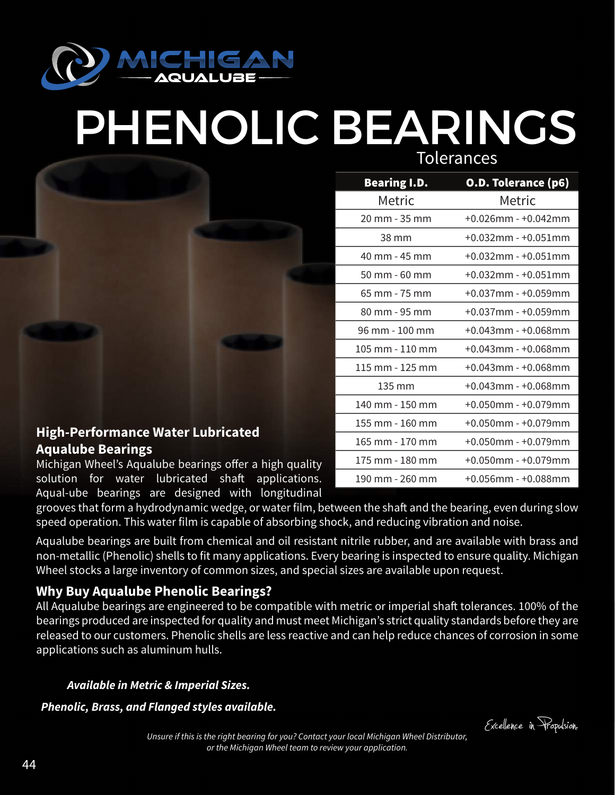

# PHENOLIC BEARINGS

Tolerances

| Bearing I.D.    | O.D. Tolerance (p6)       |
|-----------------|---------------------------|
| Metric          | Metric                    |
| 20 mm - 35 mm   | $+0.026$ mm - $+0.042$ mm |
| 38 mm           | $+0.032$ mm - $+0.051$ mm |
| 40 mm - 45 mm   | $+0.032$ mm - $+0.051$ mm |
| 50 mm - 60 mm   | $+0.032$ mm - $+0.051$ mm |
| 65 mm - 75 mm   | $+0.037$ mm - $+0.059$ mm |
| 80 mm - 95 mm   | $+0.037$ mm - $+0.059$ mm |
| 96 mm - 100 mm  | $+0.043$ mm - $+0.068$ mm |
| 105 mm - 110 mm | +0.043mm - +0.068mm       |
| 115 mm - 125 mm | +0.043mm - +0.068mm       |
| 135 mm          | $+0.043$ mm - $+0.068$ mm |
| 140 mm - 150 mm | $+0.050$ mm - $+0.079$ mm |
| 155 mm - 160 mm | $+0.050$ mm - $+0.079$ mm |
| 165 mm - 170 mm | +0.050mm - +0.079mm       |
| 175 mm - 180 mm | $+0.050$ mm - $+0.079$ mm |
| 190 mm - 260 mm | $+0.056$ mm - $+0.088$ mm |

### **High-Performance Water Lubricated Aqualube Bearings**

Michigan Wheel's Aqualube bearings offer a high quality solution for water lubricated shaft applications. Aqual-ube bearings are designed with longitudinal

grooves that form a hydrodynamic wedge, or water film, between the shaft and the bearing, even during slow speed operation. This water film is capable of absorbing shock, and reducing vibration and noise.

Aqualube bearings are built from chemical and oil resistant nitrile rubber, and are available with brass and non-metallic (Phenolic) shells to fit many applications. Every bearing is inspected to ensure quality. Michigan Wheel stocks a large inventory of common sizes, and special sizes are available upon request.

### **Why Buy Aqualube Phenolic Bearings?**

All Aqualube bearings are engineered to be compatible with metric or imperial shaft tolerances. 100% of the bearings produced are inspected for quality and must meet Michigan's strict quality standards before they are released to our customers. Phenolic shells are less reactive and can help reduce chances of corrosion in some applications such as aluminum hulls.

#### *Available in Metric & Imperial Sizes.*

*Phenolic, Brass, and Flanged styles available.*

Excelence in Propulsion.